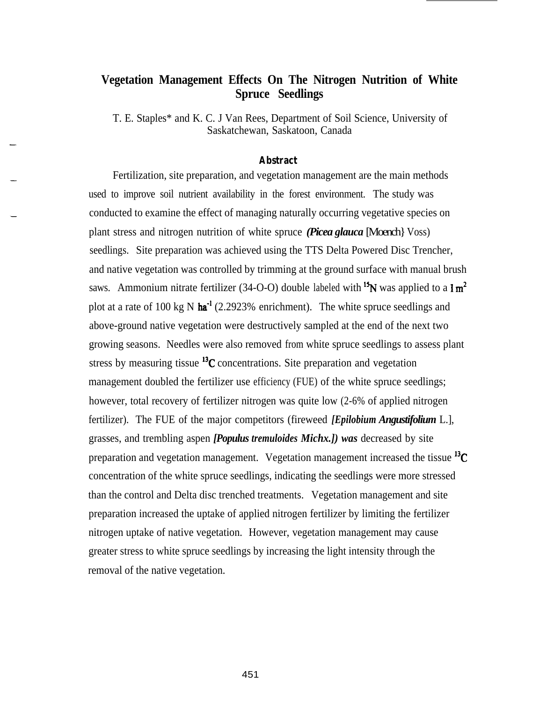# **Vegetation Management Effects On The Nitrogen Nutrition of White Spruce Seedlings**

T. E. Staples\* and K. C. J Van Rees, Department of Soil Science, University of Saskatchewan, Saskatoon, Canada

#### **Abstract**

Fertilization, site preparation, and vegetation management are the main methods used to improve soil nutrient availability in the forest environment. The study was conducted to examine the effect of managing naturally occurring vegetative species on plant stress and nitrogen nutrition of white spruce *(Picea glauca* [Moench] Voss) seedlings. Site preparation was achieved using the TTS Delta Powered Disc Trencher, and native vegetation was controlled by trimming at the ground surface with manual brush saws. Ammonium nitrate fertilizer (34-O-O) double labeled with <sup>15</sup>N was applied to a  $1 \text{ m}^2$ plot at a rate of 100 kg N  $\hat{h}a^{-1}$  (2.2923% enrichment). The white spruce seedlings and above-ground native vegetation were destructively sampled at the end of the next two growing seasons. Needles were also removed from white spruce seedlings to assess plant stress by measuring tissue  $^{13}$ C concentrations. Site preparation and vegetation management doubled the fertilizer use efficiency (FUE) of the white spruce seedlings; however, total recovery of fertilizer nitrogen was quite low (2-6% of applied nitrogen fertilizer). The FUE of the major competitors (fireweed *[Epilobium Angustifolium* L.], grasses, and trembling aspen *[Populus tremuloides Michx.]) was* decreased by site preparation and vegetation management. Vegetation management increased the tissue  $^{13}$ C concentration of the white spruce seedlings, indicating the seedlings were more stressed than the control and Delta disc trenched treatments. Vegetation management and site preparation increased the uptake of applied nitrogen fertilizer by limiting the fertilizer nitrogen uptake of native vegetation. However, vegetation management may cause greater stress to white spruce seedlings by increasing the light intensity through the removal of the native vegetation.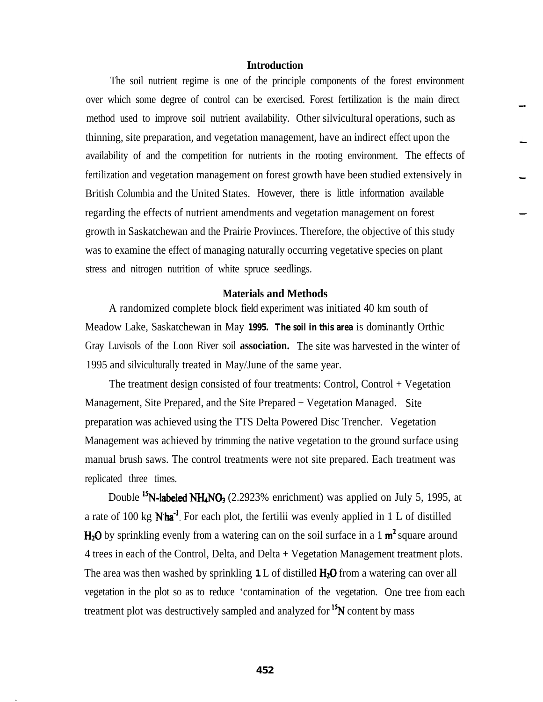## **Introduction**

The soil nutrient regime is one of the principle components of the forest environment over which some degree of control can be exercised. Forest fertilization is the main direct method used to improve soil nutrient availability. Other silvicultural operations, such as thinning, site preparation, and vegetation management, have an indirect effect upon the availability of and the competition for nutrients in the rooting environment. The effects of fertilization and vegetation management on forest growth have been studied extensively in British Columbia and the United States. However, there is little information available regarding the effects of nutrient amendments and vegetation management on forest growth in Saskatchewan and the Prairie Provinces. Therefore, the objective of this study was to examine the effect of managing naturally occurring vegetative species on plant stress and nitrogen nutrition of white spruce seedlings.

### **Materials and Methods**

A randomized complete block field experiment was initiated 40 km south of Meadow Lake, Saskatchewan in May **1995. The soil in this area** is dominantly Orthic Gray Luvisols of the Loon River soil **association.** The site was harvested in the winter of 1995 and silviculturally treated in May/June of the same year.

The treatment design consisted of four treatments: Control, Control + Vegetation Management, Site Prepared, and the Site Prepared + Vegetation Managed. Site preparation was achieved using the TTS Delta Powered Disc Trencher. Vegetation Management was achieved by trimming the native vegetation to the ground surface using manual brush saws. The control treatments were not site prepared. Each treatment was replicated three times.

Double <sup>15</sup>N-labeled NH<sub>4</sub>NO<sub>3</sub> (2.2923% enrichment) was applied on July 5, 1995, at a rate of 100 kg  $N$ ha<sup>-1</sup>. For each plot, the fertilii was evenly applied in 1 L of distilled  $H_2O$  by sprinkling evenly from a watering can on the soil surface in a 1  $m^2$  square around 4 trees in each of the Control, Delta, and Delta + Vegetation Management treatment plots. The area was then washed by sprinkling **1** L of distilled  $H_2O$  from a watering can over all vegetation in the plot so as to reduce 'contamination of the vegetation. One tree from each treatment plot was destructively sampled and analyzed for <sup>15</sup>N content by mass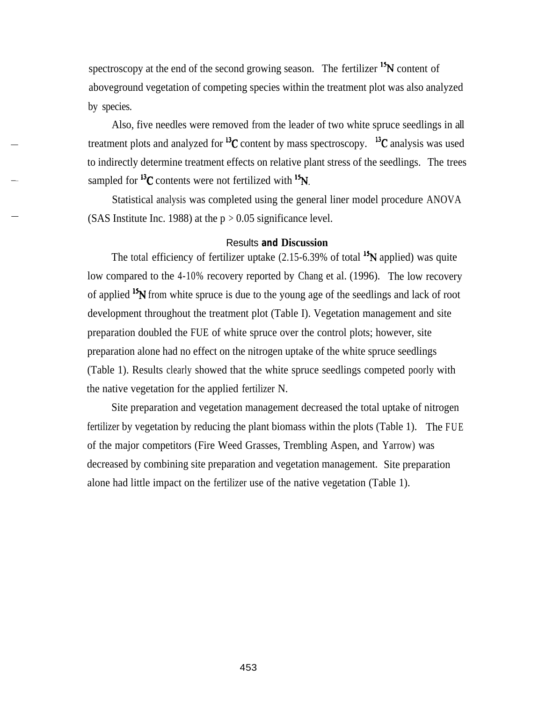spectroscopy at the end of the second growing season. The fertilizer  $\mathbf{^{15}N}$  content of aboveground vegetation of competing species within the treatment plot was also analyzed by species.

Also, five needles were removed from the leader of two white spruce seedlings in all treatment plots and analyzed for  $^{13}C$  content by mass spectroscopy.  $^{13}C$  analysis was used to indirectly determine treatment effects on relative plant stress of the seedlings. The trees sampled for  $^{13}C$  contents were not fertilized with  $^{15}N$ .

Statistical analysis was completed using the general liner model procedure ANOVA (SAS Institute Inc. 1988) at the  $p > 0.05$  significance level.

#### Results **and Discussion**

The total efficiency of fertilizer uptake  $(2.15-6.39\%$  of total  $15N$  applied) was quite low compared to the 4-10% recovery reported by Chang et al. (1996). The low recovery of applied <sup>15</sup>N from white spruce is due to the young age of the seedlings and lack of root development throughout the treatment plot (Table I). Vegetation management and site preparation doubled the FUE of white spruce over the control plots; however, site preparation alone had no effect on the nitrogen uptake of the white spruce seedlings (Table 1). Results clearly showed that the white spruce seedlings competed poorly with the native vegetation for the applied fertilizer N.

Site preparation and vegetation management decreased the total uptake of nitrogen fertilizer by vegetation by reducing the plant biomass within the plots (Table 1). The FUE of the major competitors (Fire Weed Grasses, Trembling Aspen, and Yarrow) was decreased by combining site preparation and vegetation management. Site preparation alone had little impact on the fertilizer use of the native vegetation (Table 1).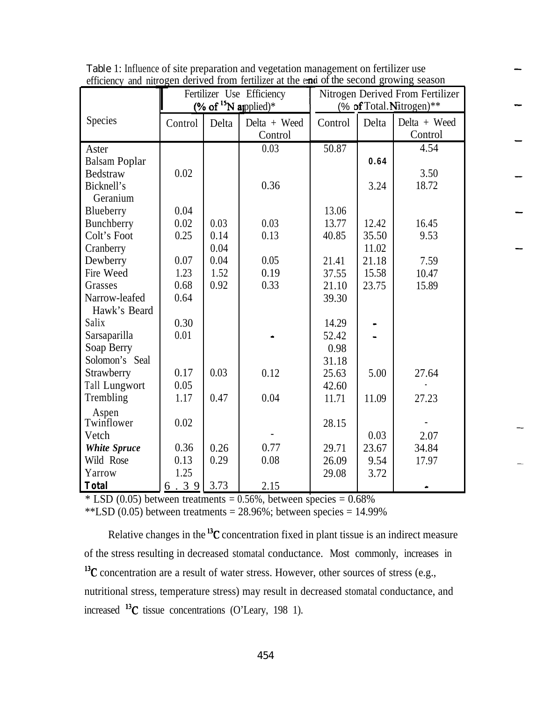| emelency and muogen derived from femilizer at the eart of the second growing season |                                   |       |              |                                  |       |              |  |  |
|-------------------------------------------------------------------------------------|-----------------------------------|-------|--------------|----------------------------------|-------|--------------|--|--|
|                                                                                     | Fertilizer Use Efficiency         |       |              | Nitrogen Derived From Fertilizer |       |              |  |  |
|                                                                                     | (% of $\mathrm{^{15}N}$ applied)* |       |              | (% of Total.Nitrogen)**          |       |              |  |  |
| Species                                                                             | Control                           | Delta | Delta + Weed | Control                          | Delta | Delta + Weed |  |  |
|                                                                                     |                                   |       | Control      |                                  |       | Control      |  |  |
| Aster                                                                               |                                   |       | 0.03         | 50.87                            |       | 4.54         |  |  |
| <b>Balsam Poplar</b>                                                                |                                   |       |              |                                  | 0.64  |              |  |  |
| <b>Bedstraw</b>                                                                     | 0.02                              |       |              |                                  |       | 3.50         |  |  |
| Bicknell's                                                                          |                                   |       | 0.36         |                                  | 3.24  | 18.72        |  |  |
| Geranium                                                                            |                                   |       |              |                                  |       |              |  |  |
| Blueberry                                                                           | 0.04                              |       |              | 13.06                            |       |              |  |  |
| Bunchberry                                                                          | 0.02                              | 0.03  | 0.03         | 13.77                            | 12.42 | 16.45        |  |  |
| Colt's Foot                                                                         | 0.25                              | 0.14  | 0.13         | 40.85                            | 35.50 | 9.53         |  |  |
| Cranberry                                                                           |                                   | 0.04  |              |                                  | 11.02 |              |  |  |
| Dewberry                                                                            | 0.07                              | 0.04  | 0.05         | 21.41                            | 21.18 | 7.59         |  |  |
| Fire Weed                                                                           | 1.23                              | 1.52  | 0.19         | 37.55                            | 15.58 | 10.47        |  |  |
| Grasses                                                                             | 0.68                              | 0.92  | 0.33         | 21.10                            | 23.75 | 15.89        |  |  |
| Narrow-leafed                                                                       | 0.64                              |       |              | 39.30                            |       |              |  |  |
| Hawk's Beard                                                                        |                                   |       |              |                                  |       |              |  |  |
| Salix                                                                               | 0.30                              |       |              | 14.29                            |       |              |  |  |
| Sarsaparilla                                                                        | 0.01                              |       |              | 52.42                            |       |              |  |  |
| Soap Berry                                                                          |                                   |       |              | 0.98                             |       |              |  |  |
| Solomon's Seal                                                                      |                                   |       |              | 31.18                            |       |              |  |  |
| Strawberry                                                                          | 0.17                              | 0.03  | 0.12         | 25.63                            | 5.00  | 27.64        |  |  |
| <b>Tall Lungwort</b>                                                                | 0.05                              |       |              | 42.60                            |       |              |  |  |
| Trembling                                                                           | 1.17                              | 0.47  | 0.04         | 11.71                            | 11.09 | 27.23        |  |  |
| Aspen                                                                               |                                   |       |              |                                  |       |              |  |  |
| Twinflower                                                                          | 0.02                              |       |              | 28.15                            |       |              |  |  |
| Vetch                                                                               |                                   |       |              |                                  | 0.03  | 2.07         |  |  |
| <b>White Spruce</b>                                                                 | 0.36                              | 0.26  | 0.77         | 29.71                            | 23.67 | 34.84        |  |  |
| Wild Rose                                                                           | 0.13                              | 0.29  | 0.08         | 26.09                            | 9.54  | 17.97        |  |  |
| Yarrow                                                                              | 1.25                              |       |              | 29.08                            | 3.72  |              |  |  |
| <b>Total</b>                                                                        | $6.39$                            | 3.73  | 2.15         |                                  |       |              |  |  |

Table 1: Influence of site preparation and vegetation management on fertilizer use efficiency and nitrogen derived from fertilizer at the end of the second growing season

 $*$  LSD (0.05) between treatments = 0.56%, between species = 0.68%

\*\*LSD  $(0.05)$  between treatments = 28.96%; between species = 14.99%

Relative changes in the <sup>13</sup>C concentration fixed in plant tissue is an indirect measure of the stress resulting in decreased stomatal conductance. Most commonly, increases in  $13<sup>13</sup>C$  concentration are a result of water stress. However, other sources of stress (e.g., nutritional stress, temperature stress) may result in decreased stomatal conductance, and increased  $^{13}$ C tissue concentrations (O'Leary, 198 1).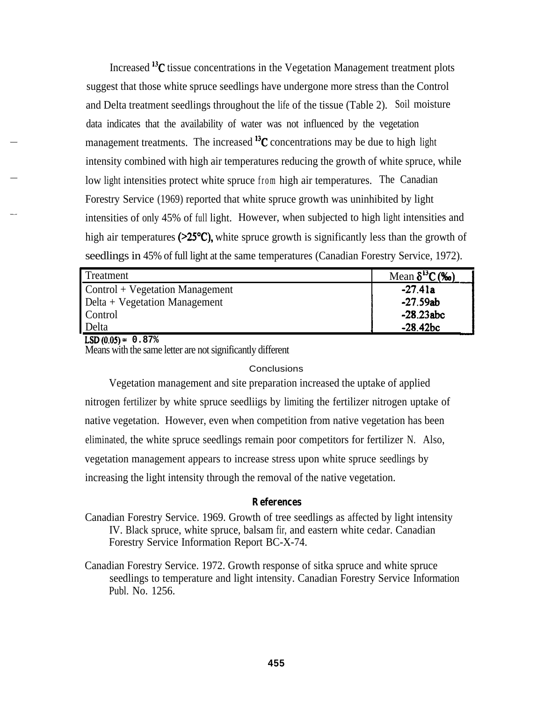Increased  ${}^{13}C$  tissue concentrations in the Vegetation Management treatment plots suggest that those white spruce seedlings have undergone more stress than the Control and Delta treatment seedlings throughout the life of the tissue (Table 2). Soil moisture data indicates that the availability of water was not influenced by the vegetation management treatments. The increased  $^{13}$ C concentrations may be due to high light intensity combined with high air temperatures reducing the growth of white spruce, while low light intensities protect white spruce from high air temperatures. The Canadian Forestry Service (1969) reported that white spruce growth was uninhibited by light intensities of only 45% of full light. However, when subjected to high light intensities and high air temperatures ( $\geq 25^{\circ}C$ ), white spruce growth is significantly less than the growth of seedlings in 45% of full light at the same temperatures (Canadian Forestry Service, 1972).

| Treatment                         | Mean $\delta^{13}C$ (‰) |
|-----------------------------------|-------------------------|
| $Control + Vegetation Management$ | $-27.41a$               |
| Delta + Vegetation Management     | $-27.59ab$              |
| Control                           | $-28.23abc$             |
| Delta                             | $-28.42bc$              |

**LSD(O.O5)= 0.87%** Means with the same letter are not significantly different

#### **Conclusions**

Vegetation management and site preparation increased the uptake of applied nitrogen fertilizer by white spruce seedliigs by limiting the fertilizer nitrogen uptake of native vegetation. However, even when competition from native vegetation has been eliminated, the white spruce seedlings remain poor competitors for fertilizer N. Also, vegetation management appears to increase stress upon white spruce seedlings by increasing the light intensity through the removal of the native vegetation.

# **References**

- Canadian Forestry Service. 1969. Growth of tree seedlings as affected by light intensity IV. Black spruce, white spruce, balsam fir, and eastern white cedar. Canadian Forestry Service Information Report BC-X-74.
- Canadian Forestry Service. 1972. Growth response of sitka spruce and white spruce seedlings to temperature and light intensity. Canadian Forestry Service Information Publ. No. 1256.